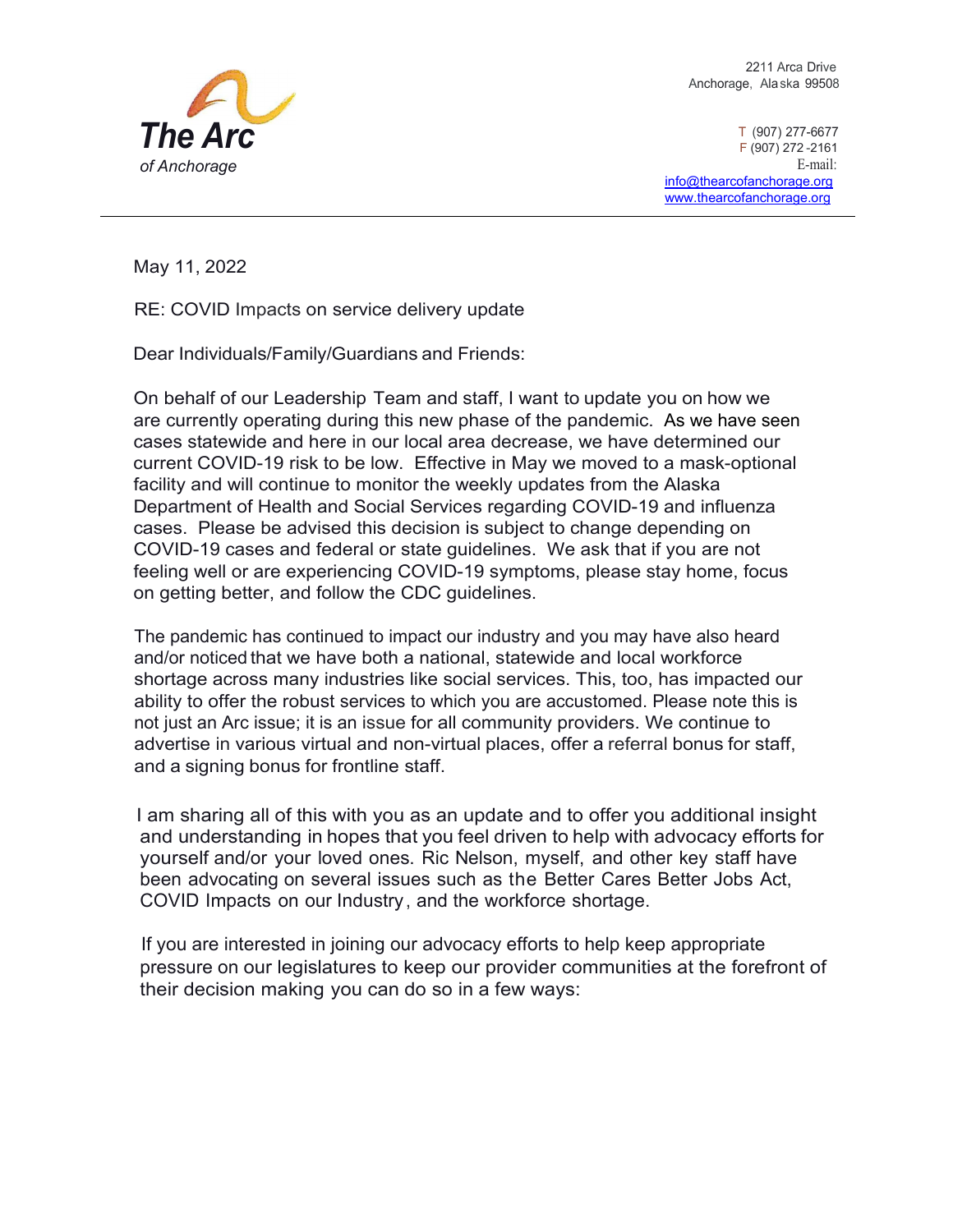

2211 Arca Drive Anchorage, Alaska 99508

T (907) 277-6677 F (907) 272 -2161 E-mail: [info@thearcofanchorage.org](mailto:info@thearcofanchorage.org) [www.thearcofanchorage.org](http://www.thearcofanchorage.org/)

May 11, 2022

RE: COVID Impacts on service delivery update

Dear Individuals/Family/Guardians and Friends:

On behalf of our Leadership Team and staff, I want to update you on how we are currently operating during this new phase of the pandemic. As we have seen cases statewide and here in our local area decrease, we have determined our current COVID-19 risk to be low. Effective in May we moved to a mask-optional facility and will continue to monitor the weekly updates from the Alaska Department of Health and Social Services regarding COVID-19 and influenza cases. Please be advised this decision is subject to change depending on COVID-19 cases and federal or state guidelines. We ask that if you are not feeling well or are experiencing COVID-19 symptoms, please stay home, focus on getting better, and follow the CDC guidelines.

The pandemic has continued to impact our industry and you may have also heard and/or noticed that we have both a national, statewide and local workforce shortage across many industries like social services. This, too, has impacted our ability to offer the robust services to which you are accustomed. Please note this is not just an Arc issue; it is an issue for all community providers. We continue to advertise in various virtual and non-virtual places, offer a referral bonus for staff, and a signing bonus for frontline staff.

 I am sharing all of this with you as an update and to offer you additional insight and understanding in hopes that you feel driven to help with advocacy efforts for yourself and/or your loved ones. Ric Nelson, myself, and other key staff have been advocating on several issues such as the Better Cares Better Jobs Act, COVID Impacts on our Industry, and the workforce shortage.

 If you are interested in joining our advocacy efforts to help keep appropriate pressure on our legislatures to keep our provider communities at the forefront of their decision making you can do so in a few ways: